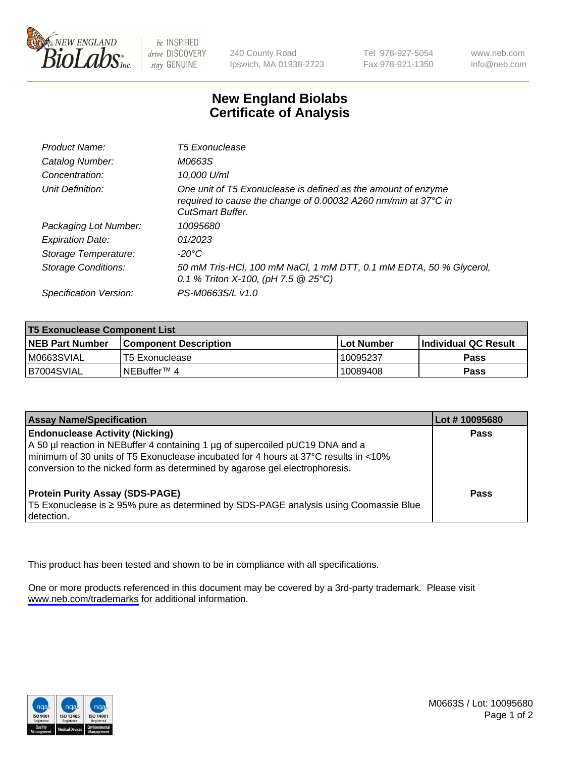

be INSPIRED drive DISCOVERY stay GENUINE

240 County Road Ipswich, MA 01938-2723 Tel 978-927-5054 Fax 978-921-1350

www.neb.com info@neb.com

## **New England Biolabs Certificate of Analysis**

| Product Name:              | <b>T5 Exonuclease</b>                                                                                                                                      |
|----------------------------|------------------------------------------------------------------------------------------------------------------------------------------------------------|
| Catalog Number:            | M0663S                                                                                                                                                     |
| Concentration:             | 10,000 U/ml                                                                                                                                                |
| Unit Definition:           | One unit of T5 Exonuclease is defined as the amount of enzyme<br>required to cause the change of 0.00032 A260 nm/min at 37°C in<br><b>CutSmart Buffer.</b> |
| Packaging Lot Number:      | 10095680                                                                                                                                                   |
| <b>Expiration Date:</b>    | 01/2023                                                                                                                                                    |
| Storage Temperature:       | $-20^{\circ}$ C                                                                                                                                            |
| <b>Storage Conditions:</b> | 50 mM Tris-HCl, 100 mM NaCl, 1 mM DTT, 0.1 mM EDTA, 50 % Glycerol,<br>0.1 % Triton X-100, (pH 7.5 $@25°C$ )                                                |
| Specification Version:     | PS-M0663S/L v1.0                                                                                                                                           |

| <b>T5 Exonuclease Component List</b> |                         |             |                             |  |
|--------------------------------------|-------------------------|-------------|-----------------------------|--|
| <b>NEB Part Number</b>               | l Component Description | ⊺Lot Number | <b>Individual QC Result</b> |  |
| I M0663SVIAL                         | T5 Exonuclease          | 10095237    | <b>Pass</b>                 |  |
| IB7004SVIAL                          | l NEBuffer™ 4∶          | 10089408    | <b>Pass</b>                 |  |

| <b>Assay Name/Specification</b>                                                                                                                                                                                                                                                               | Lot # 10095680 |
|-----------------------------------------------------------------------------------------------------------------------------------------------------------------------------------------------------------------------------------------------------------------------------------------------|----------------|
| <b>Endonuclease Activity (Nicking)</b><br>A 50 µl reaction in NEBuffer 4 containing 1 µg of supercoiled pUC19 DNA and a<br>minimum of 30 units of T5 Exonuclease incubated for 4 hours at 37°C results in <10%<br>conversion to the nicked form as determined by agarose gel electrophoresis. | <b>Pass</b>    |
| <b>Protein Purity Assay (SDS-PAGE)</b><br>T5 Exonuclease is ≥ 95% pure as determined by SDS-PAGE analysis using Coomassie Blue<br>detection.                                                                                                                                                  | Pass           |

This product has been tested and shown to be in compliance with all specifications.

One or more products referenced in this document may be covered by a 3rd-party trademark. Please visit <www.neb.com/trademarks>for additional information.